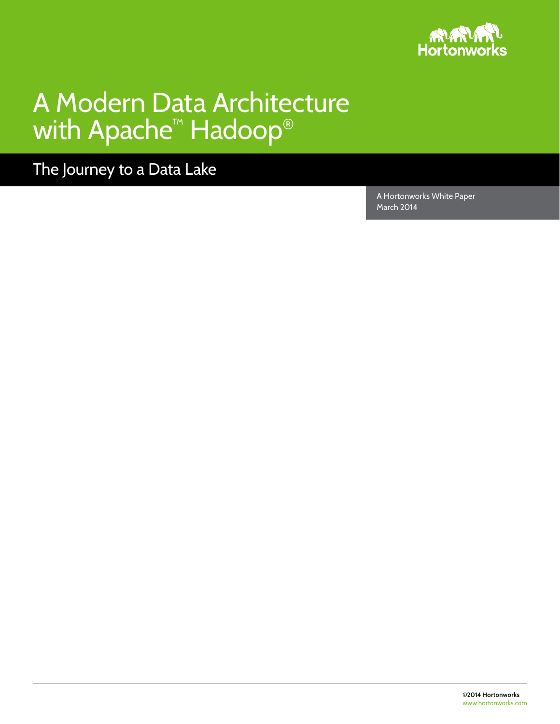

# A Modern Data Architecture with Apache<sup>™</sup> Hadoop®

The Journey to a Data Lake

A Hortonworks White Paper March 2014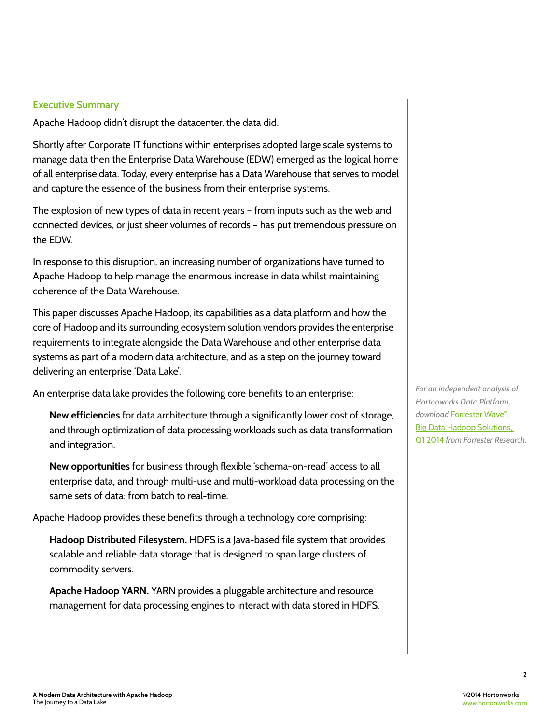### **Executive Summary**

Apache Hadoop didn't disrupt the datacenter, the data did.

Shortly after Corporate IT functions within enterprises adopted large scale systems to manage data then the Enterprise Data Warehouse (EDW) emerged as the logical home of all enterprise data. Today, every enterprise has a Data Warehouse that serves to model and capture the essence of the business from their enterprise systems.

The explosion of new types of data in recent years – from inputs such as the web and connected devices, or just sheer volumes of records – has put tremendous pressure on the EDW.

In response to this disruption, an increasing number of organizations have turned to Apache Hadoop to help manage the enormous increase in data whilst maintaining coherence of the Data Warehouse.

This paper discusses Apache Hadoop, its capabilities as a data platform and how the core of Hadoop and its surrounding ecosystem solution vendors provides the enterprise requirements to integrate alongside the Data Warehouse and other enterprise data systems as part of a modern data architecture, and as a step on the journey toward delivering an enterprise 'Data Lake'.

An enterprise data lake provides the following core benefits to an enterprise:

**New efficiencies** for data architecture through a significantly lower cost of storage, and through optimization of data processing workloads such as data transformation and integration.

**New opportunities** for business through flexible 'schema-on-read' access to all enterprise data, and through multi-use and multi-workload data processing on the same sets of data: from batch to real-time.

Apache Hadoop provides these benefits through a technology core comprising:

**Hadoop Distributed Filesystem.** HDFS is a Java-based file system that provides scalable and reliable data storage that is designed to span large clusters of commodity servers.

**Apache Hadoop YARN.** YARN provides a pluggable architecture and resource management for data processing engines to interact with data stored in HDFS. *For an independent analysis of Hortonworks Data Platform, download* Forrester Wave™: Big Data Hadoop Solutions, Q1 2014 *from Forrester Research.*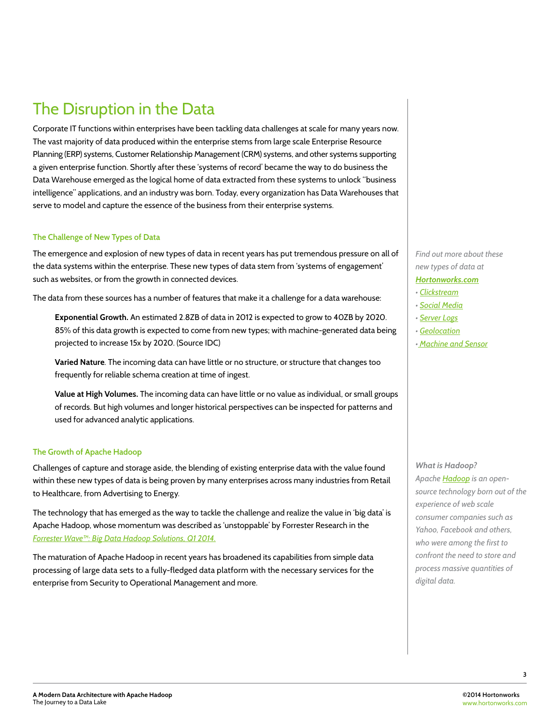### The Disruption in the Data

Corporate IT functions within enterprises have been tackling data challenges at scale for many years now. The vast majority of data produced within the enterprise stems from large scale Enterprise Resource Planning (ERP) systems, Customer Relationship Management (CRM) systems, and other systems supporting a given enterprise function. Shortly after these 'systems of record' became the way to do business the Data Warehouse emerged as the logical home of data extracted from these systems to unlock "business intelligence" applications, and an industry was born. Today, every organization has Data Warehouses that serve to model and capture the essence of the business from their enterprise systems.

#### **The Challenge of New Types of Data**

The emergence and explosion of new types of data in recent years has put tremendous pressure on all of the data systems within the enterprise. These new types of data stem from 'systems of engagement' such as websites, or from the growth in connected devices.

The data from these sources has a number of features that make it a challenge for a data warehouse:

**Exponential Growth.** An estimated 2.8ZB of data in 2012 is expected to grow to 40ZB by 2020. 85% of this data growth is expected to come from new types; with machine-generated data being projected to increase 15x by 2020. (Source IDC)

**Varied Nature**. The incoming data can have little or no structure, or structure that changes too frequently for reliable schema creation at time of ingest.

**Value at High Volumes.** The incoming data can have little or no value as individual, or small groups of records. But high volumes and longer historical perspectives can be inspected for patterns and used for advanced analytic applications.

#### **The Growth of Apache Hadoop**

Challenges of capture and storage aside, the blending of existing enterprise data with the value found within these new types of data is being proven by many enterprises across many industries from Retail to Healthcare, from Advertising to Energy.

The technology that has emerged as the way to tackle the challenge and realize the value in 'big data' is Apache Hadoop, whose momentum was described as 'unstoppable' by Forrester Research in the *Forrester Wave™: Big Data Hadoop Solutions, Q1 2014.*

The maturation of Apache Hadoop in recent years has broadened its capabilities from simple data processing of large data sets to a fully-fledged data platform with the necessary services for the enterprise from Security to Operational Management and more.

*Find out more about these new types of data at Hortonworks.com*

*• Clickstream*

*• Social Media*

*• Server Logs*

- *Geolocation*
- *Machine and Sensor*

*What is Hadoop? Apache Hadoop is an opensource technology born out of the experience of web scale consumer companies such as Yahoo, Facebook and others, who were among the first to confront the need to store and process massive quantities of digital data.*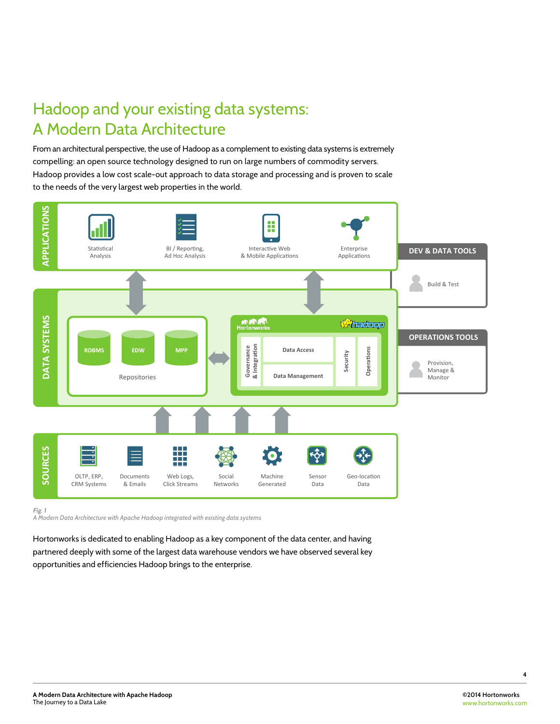# Hadoop and your existing data systems: A Modern Data Architecture

From an architectural perspective, the use of Hadoop as a complement to existing data systems is extremely compelling: an open source technology designed to run on large numbers of commodity servers. Hadoop provides a low cost scale-out approach to data storage and processing and is proven to scale to the needs of the very largest web properties in the world.



*Fig. 1 A Modern Data Architecture with Apache Hadoop integrated with existing data systems*

Hortonworks is dedicated to enabling Hadoop as a key component of the data center, and having partnered deeply with some of the largest data warehouse vendors we have observed several key opportunities and efficiencies Hadoop brings to the enterprise.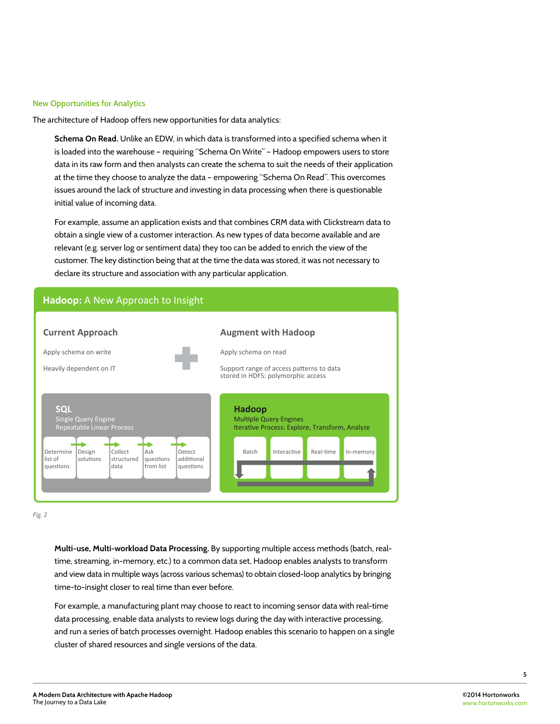#### **New Opportunities for Analytics**

The architecture of Hadoop offers new opportunities for data analytics:

**Schema On Read.** Unlike an EDW, in which data is transformed into a specified schema when it is loaded into the warehouse – requiring "Schema On Write" – Hadoop empowers users to store data in its raw form and then analysts can create the schema to suit the needs of their application at the time they choose to analyze the data – empowering "Schema On Read". This overcomes issues around the lack of structure and investing in data processing when there is questionable initial value of incoming data.

For example, assume an application exists and that combines CRM data with Clickstream data to obtain a single view of a customer interaction. As new types of data become available and are relevant (e.g. server log or sentiment data) they too can be added to enrich the view of the customer. The key distinction being that at the time the data was stored, it was not necessary to declare its structure and association with any particular application.



*Fig. 2*

**Multi-use, Multi-workload Data Processing.** By supporting multiple access methods (batch, realtime, streaming, in-memory, etc.) to a common data set, Hadoop enables analysts to transform and view data in multiple ways (across various schemas) to obtain closed-loop analytics by bringing time-to-insight closer to real time than ever before.

For example, a manufacturing plant may choose to react to incoming sensor data with real-time data processing, enable data analysts to review logs during the day with interactive processing, and run a series of batch processes overnight. Hadoop enables this scenario to happen on a single cluster of shared resources and single versions of the data.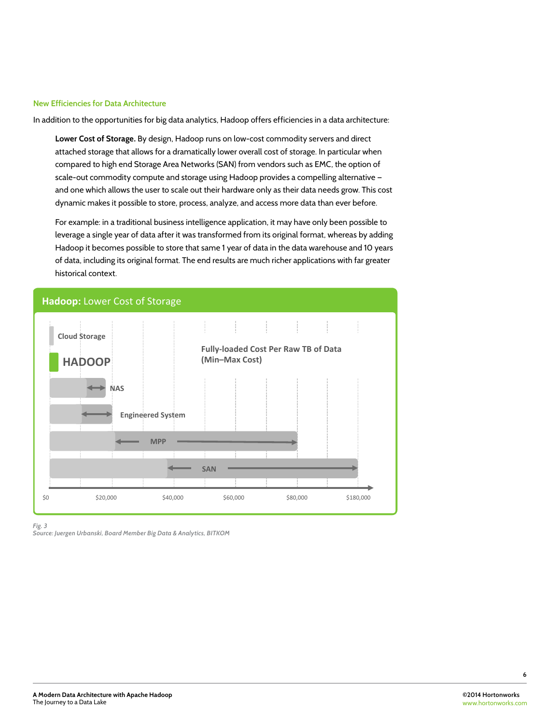#### **New Efficiencies for Data Architecture**

In addition to the opportunities for big data analytics, Hadoop offers efficiencies in a data architecture:

**Lower Cost of Storage.** By design, Hadoop runs on low-cost commodity servers and direct attached storage that allows for a dramatically lower overall cost of storage. In particular when compared to high end Storage Area Networks (SAN) from vendors such as EMC, the option of scale-out commodity compute and storage using Hadoop provides a compelling alternative and one which allows the user to scale out their hardware only as their data needs grow. This cost dynamic makes it possible to store, process, analyze, and access more data than ever before.

For example: in a traditional business intelligence application, it may have only been possible to leverage a single year of data after it was transformed from its original format, whereas by adding Hadoop it becomes possible to store that same 1 year of data in the data warehouse and 10 years of data, including its original format. The end results are much richer applications with far greater historical context.



*Fig. 3*

*Source: Juergen Urbanski, Board Member Big Data & Analytics, BITKOM*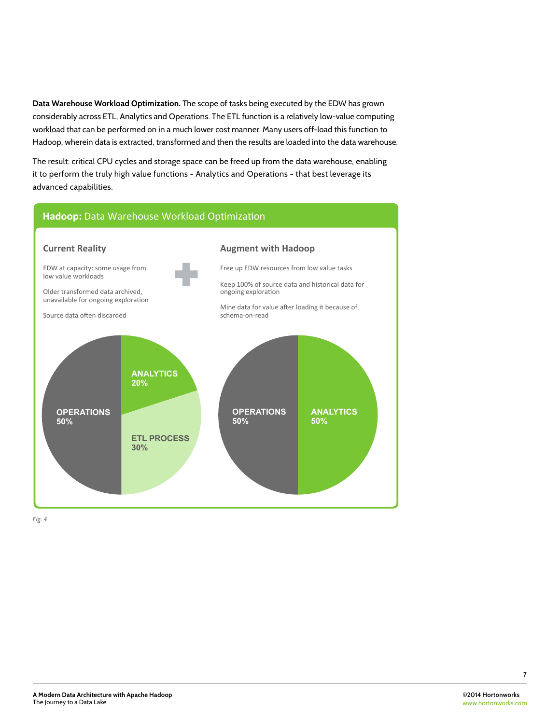**Data Warehouse Workload Optimization.** The scope of tasks being executed by the EDW has grown considerably across ETL, Analytics and Operations. The ETL function is a relatively low-value computing workload that can be performed on in a much lower cost manner. Many users off-load this function to Hadoop, wherein data is extracted, transformed and then the results are loaded into the data warehouse.

The result: critical CPU cycles and storage space can be freed up from the data warehouse, enabling it to perform the truly high value functions - Analytics and Operations - that best leverage its advanced capabilities.

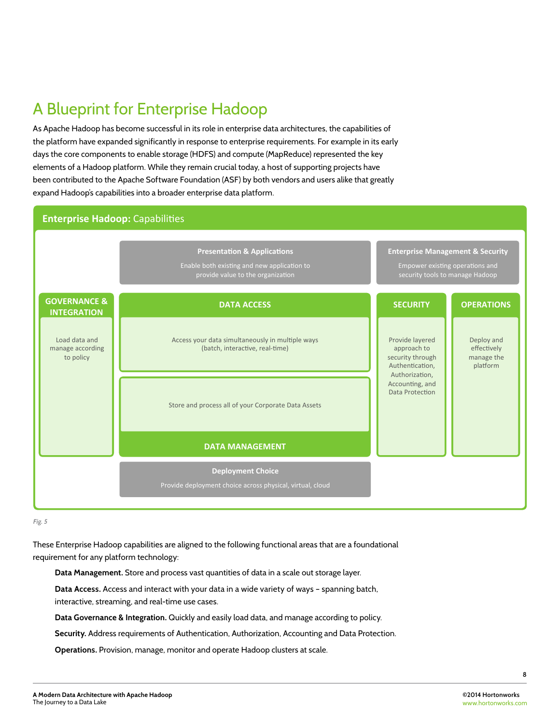# A Blueprint for Enterprise Hadoop

As Apache Hadoop has become successful in its role in enterprise data architectures, the capabilities of the platform have expanded significantly in response to enterprise requirements. For example in its early days the core components to enable storage (HDFS) and compute (MapReduce) represented the key elements of a Hadoop platform. While they remain crucial today, a host of supporting projects have been contributed to the Apache Software Foundation (ASF) by both vendors and users alike that greatly expand Hadoop's capabilities into a broader enterprise data platform.



*Fig. 5*

These Enterprise Hadoop capabilities are aligned to the following functional areas that are a foundational requirement for any platform technology:

**Data Management.** Store and process vast quantities of data in a scale out storage layer.

**Data Access.** Access and interact with your data in a wide variety of ways – spanning batch, interactive, streaming, and real-time use cases.

**Data Governance & Integration.** Quickly and easily load data, and manage according to policy.

**Security.** Address requirements of Authentication, Authorization, Accounting and Data Protection.

**Operations.** Provision, manage, monitor and operate Hadoop clusters at scale.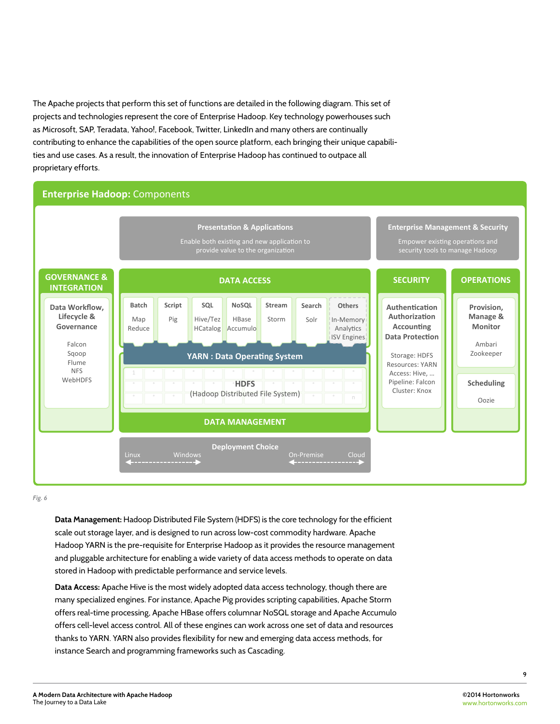The Apache projects that perform this set of functions are detailed in the following diagram. This set of projects and technologies represent the core of Enterprise Hadoop. Key technology powerhouses such as Microsoft, SAP, Teradata, Yahoo!, Facebook, Twitter, LinkedIn and many others are continually contributing to enhance the capabilities of the open source platform, each bringing their unique capabilities and use cases. As a result, the innovation of Enterprise Hadoop has continued to outpace all proprietary efforts.

### **Enterprise Hadoop: Components**



*Fig. 6*

**Data Management:** Hadoop Distributed File System (HDFS) is the core technology for the efficient scale out storage layer, and is designed to run across low-cost commodity hardware. Apache Hadoop YARN is the pre-requisite for Enterprise Hadoop as it provides the resource management and pluggable architecture for enabling a wide variety of data access methods to operate on data stored in Hadoop with predictable performance and service levels.

**Data Access:** Apache Hive is the most widely adopted data access technology, though there are many specialized engines. For instance, Apache Pig provides scripting capabilities, Apache Storm offers real-time processing, Apache HBase offers columnar NoSQL storage and Apache Accumulo offers cell-level access control. All of these engines can work across one set of data and resources thanks to YARN. YARN also provides flexibility for new and emerging data access methods, for instance Search and programming frameworks such as Cascading.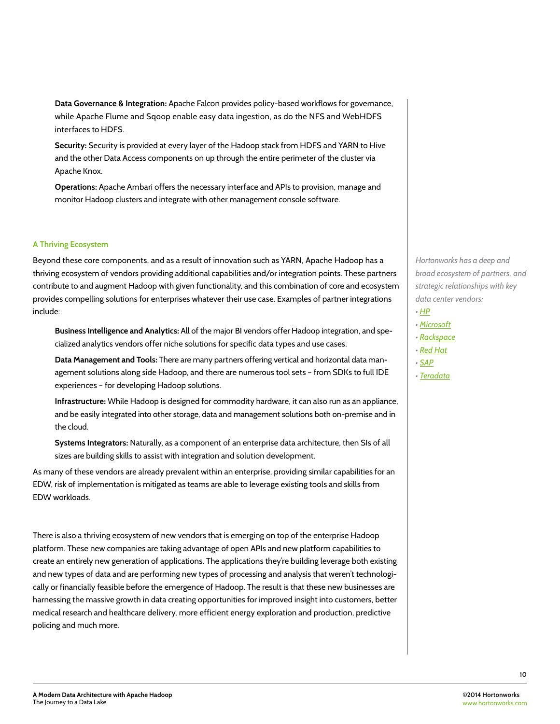**Data Governance & Integration:** Apache Falcon provides policy-based workflows for governance, while Apache Flume and Sqoop enable easy data ingestion, as do the NFS and WebHDFS interfaces to HDFS.

**Security:** Security is provided at every layer of the Hadoop stack from HDFS and YARN to Hive and the other Data Access components on up through the entire perimeter of the cluster via Apache Knox.

**Operations:** Apache Ambari offers the necessary interface and APIs to provision, manage and monitor Hadoop clusters and integrate with other management console software.

#### **A Thriving Ecosystem**

Beyond these core components, and as a result of innovation such as YARN, Apache Hadoop has a thriving ecosystem of vendors providing additional capabilities and/or integration points. These partners contribute to and augment Hadoop with given functionality, and this combination of core and ecosystem provides compelling solutions for enterprises whatever their use case. Examples of partner integrations include:

**Business Intelligence and Analytics:** All of the major BI vendors offer Hadoop integration, and specialized analytics vendors offer niche solutions for specific data types and use cases.

**Data Management and Tools:** There are many partners offering vertical and horizontal data management solutions along side Hadoop, and there are numerous tool sets – from SDKs to full IDE experiences – for developing Hadoop solutions.

**Infrastructure:** While Hadoop is designed for commodity hardware, it can also run as an appliance, and be easily integrated into other storage, data and management solutions both on-premise and in the cloud.

**Systems Integrators:** Naturally, as a component of an enterprise data architecture, then SIs of all sizes are building skills to assist with integration and solution development.

As many of these vendors are already prevalent within an enterprise, providing similar capabilities for an EDW, risk of implementation is mitigated as teams are able to leverage existing tools and skills from EDW workloads.

There is also a thriving ecosystem of new vendors that is emerging on top of the enterprise Hadoop platform. These new companies are taking advantage of open APIs and new platform capabilities to create an entirely new generation of applications. The applications they're building leverage both existing and new types of data and are performing new types of processing and analysis that weren't technologically or financially feasible before the emergence of Hadoop. The result is that these new businesses are harnessing the massive growth in data creating opportunities for improved insight into customers, better medical research and healthcare delivery, more efficient energy exploration and production, predictive policing and much more.

*Hortonworks has a deep and broad ecosystem of partners, and strategic relationships with key data center vendors:*

- *HP*
- *Microsoft*
- *Rackspace*
- *Red Hat*
- *SAP*
- *Teradata*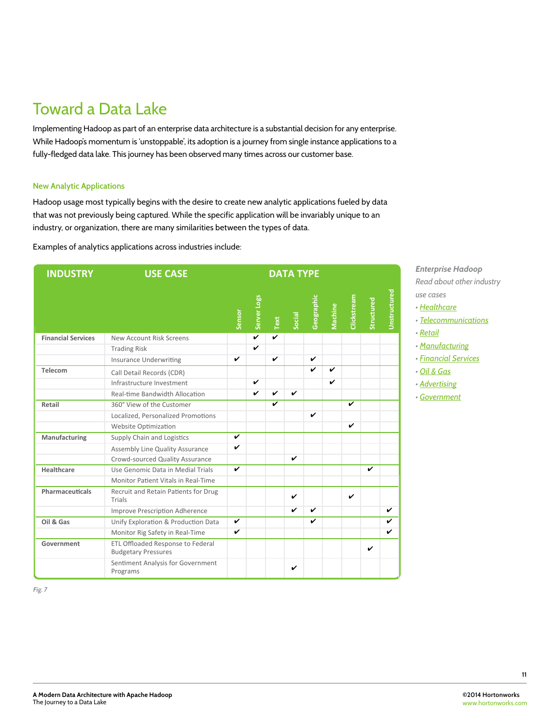### Toward a Data Lake

Implementing Hadoop as part of an enterprise data architecture is a substantial decision for any enterprise. While Hadoop's momentum is 'unstoppable', its adoption is a journey from single instance applications to a fully-fledged data lake. This journey has been observed many times across our customer base.

#### **New Analytic Applications**

Hadoop usage most typically begins with the desire to create new analytic applications fueled by data that was not previously being captured. While the specific application will be invariably unique to an industry, or organization, there are many similarities between the types of data.

Examples of analytics applications across industries include:

| <b>INDUSTRY</b>           | <b>USE CASE</b>                                                 | <b>DATA TYPE</b> |             |                              |        |              |             |                         |                           |              |
|---------------------------|-----------------------------------------------------------------|------------------|-------------|------------------------------|--------|--------------|-------------|-------------------------|---------------------------|--------------|
|                           |                                                                 | Sensor           | Server Logs | $\ensuremath{\mathsf{Text}}$ | Social | Geographic   | Machine     |                         | Clickstream<br>Structured | Unstructured |
| <b>Financial Services</b> | New Account Risk Screens                                        |                  |             |                              |        |              |             |                         |                           |              |
|                           | <b>Trading Risk</b>                                             |                  | V           |                              |        |              |             |                         |                           |              |
|                           | <b>Insurance Underwriting</b>                                   | ✓                |             | $\boldsymbol{\nu}$           |        | $\mathbf{v}$ |             |                         |                           |              |
| Telecom                   | Call Detail Records (CDR)                                       |                  |             |                              |        | $\mathbf{v}$ | $\mathbf v$ |                         |                           |              |
|                           | Infrastructure Investment                                       |                  | ✓           |                              |        |              | V           |                         |                           |              |
|                           | Real-time Bandwidth Allocation                                  |                  | V           | V                            | v      |              |             |                         |                           |              |
| Retail                    | 360° View of the Customer                                       |                  |             | ✓                            |        |              |             | $\overline{\mathbf{v}}$ |                           |              |
|                           | Localized, Personalized Promotions                              |                  |             |                              |        | V            |             |                         |                           |              |
|                           | Website Optimization                                            |                  |             |                              |        |              |             | V                       |                           |              |
| Manufacturing             | Supply Chain and Logistics                                      | V                |             |                              |        |              |             |                         |                           |              |
|                           | Assembly Line Quality Assurance                                 | V                |             |                              |        |              |             |                         |                           |              |
|                           | Crowd-sourced Quality Assurance                                 |                  |             |                              | V      |              |             |                         |                           |              |
| Healthcare                | Use Genomic Data in Medial Trials                               | $\boldsymbol{v}$ |             |                              |        |              |             |                         | V                         |              |
|                           | Monitor Patient Vitals in Real-Time                             |                  |             |                              |        |              |             |                         |                           |              |
| Pharmaceuticals           | Recruit and Retain Patients for Drug<br>Trials                  |                  |             |                              | ✓      |              |             | ✓                       |                           |              |
|                           | <b>Improve Prescription Adherence</b>                           |                  |             |                              | ✓      | v            |             |                         |                           | V            |
| Oil & Gas                 | Unify Exploration & Production Data                             | V                |             |                              |        | V            |             |                         |                           | ✓            |
|                           | Monitor Rig Safety in Real-Time                                 | $\checkmark$     |             |                              |        |              |             |                         |                           | ✓            |
| Government                | ETL Offloaded Response to Federal<br><b>Budgetary Pressures</b> |                  |             |                              |        |              |             |                         | V                         |              |
|                           | Sentiment Analysis for Government<br>Programs                   |                  |             |                              | V      |              |             |                         |                           |              |

*Enterprise Hadoop Read about other industry use cases*

- *Healthcare*
- *Telecommunications*
- *Retail*
- *Manufacturing*
- *Financial Services*
- *Oil & Gas*
- *Advertising*
- *Government*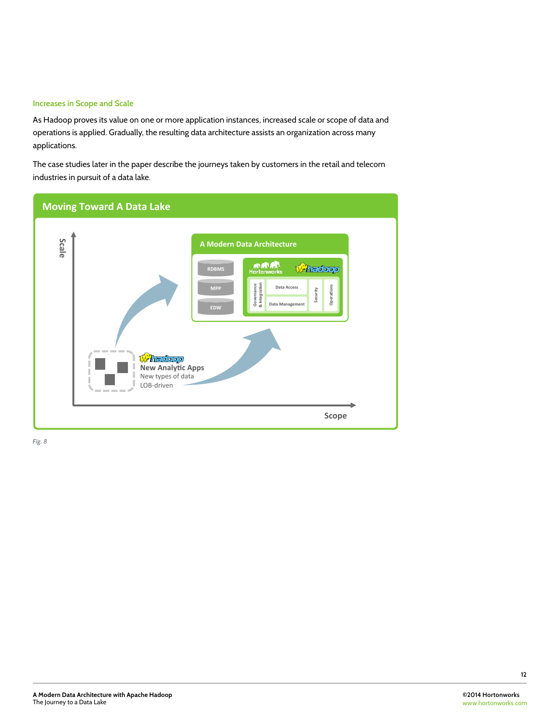#### **Increases in Scope and Scale**

As Hadoop proves its value on one or more application instances, increased scale or scope of data and operations is applied. Gradually, the resulting data architecture assists an organization across many applications.

The case studies later in the paper describe the journeys taken by customers in the retail and telecom industries in pursuit of a data lake.

| <b>Moving Toward A Data Lake</b>                                                                                                                                                                                                                                                                                                             |
|----------------------------------------------------------------------------------------------------------------------------------------------------------------------------------------------------------------------------------------------------------------------------------------------------------------------------------------------|
| Scale<br>A Modern Data Architecture<br><b>RURLIN</b><br>Hortonworks<br><b><i><i>S</i></i></b> hedeep<br><b>RDBMS</b><br>Governance<br>& Integration<br>Operations<br>Data Access<br><b>MPP</b><br>Security<br>Data Management<br><b>EDW</b><br><b>Whedoop</b><br><b>New Analytic Apps</b><br>New types of data<br>LOB-driven<br>---<br>Scope |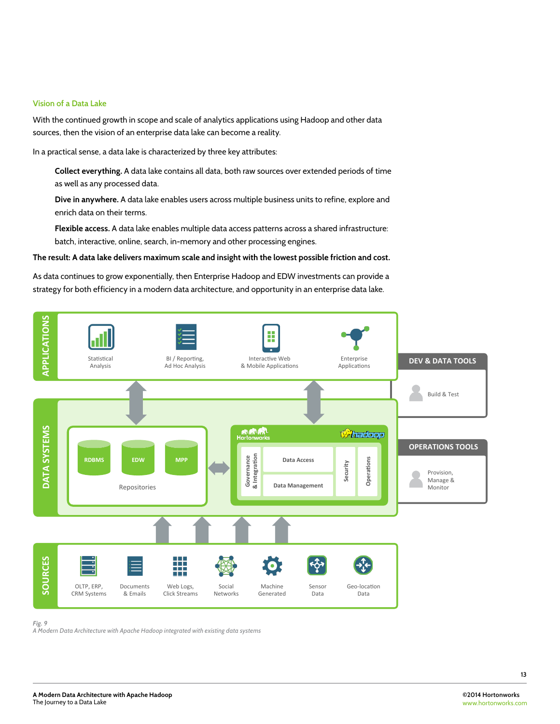#### **Vision of a Data Lake**

With the continued growth in scope and scale of analytics applications using Hadoop and other data sources, then the vision of an enterprise data lake can become a reality.

In a practical sense, a data lake is characterized by three key attributes:

**Collect everything.** A data lake contains all data, both raw sources over extended periods of time as well as any processed data.

**Dive in anywhere.** A data lake enables users across multiple business units to refine, explore and enrich data on their terms.

**Flexible access.** A data lake enables multiple data access patterns across a shared infrastructure: batch, interactive, online, search, in-memory and other processing engines.

#### **The result: A data lake delivers maximum scale and insight with the lowest possible friction and cost.**

As data continues to grow exponentially, then Enterprise Hadoop and EDW investments can provide a strategy for both efficiency in a modern data architecture, and opportunity in an enterprise data lake.



*Fig. 9 A Modern Data Architecture with Apache Hadoop integrated with existing data systems*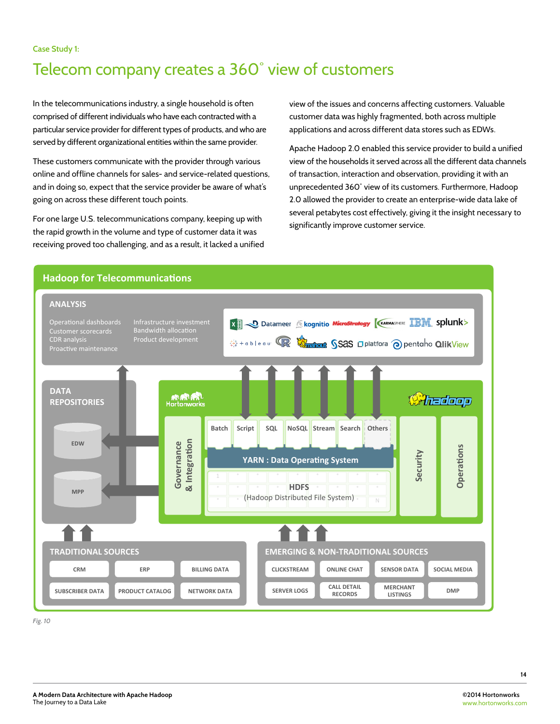### Telecom company creates a 360˚ view of customers

In the telecommunications industry, a single household is often comprised of different individuals who have each contracted with a particular service provider for different types of products, and who are served by different organizational entities within the same provider.

These customers communicate with the provider through various online and offline channels for sales- and service-related questions, and in doing so, expect that the service provider be aware of what's going on across these different touch points.

For one large U.S. telecommunications company, keeping up with the rapid growth in the volume and type of customer data it was receiving proved too challenging, and as a result, it lacked a unified view of the issues and concerns affecting customers. Valuable customer data was highly fragmented, both across multiple applications and across different data stores such as EDWs.

Apache Hadoop 2.0 enabled this service provider to build a unified view of the households it served across all the different data channels of transaction, interaction and observation, providing it with an unprecedented 360˚ view of its customers. Furthermore, Hadoop 2.0 allowed the provider to create an enterprise-wide data lake of several petabytes cost effectively, giving it the insight necessary to significantly improve customer service.

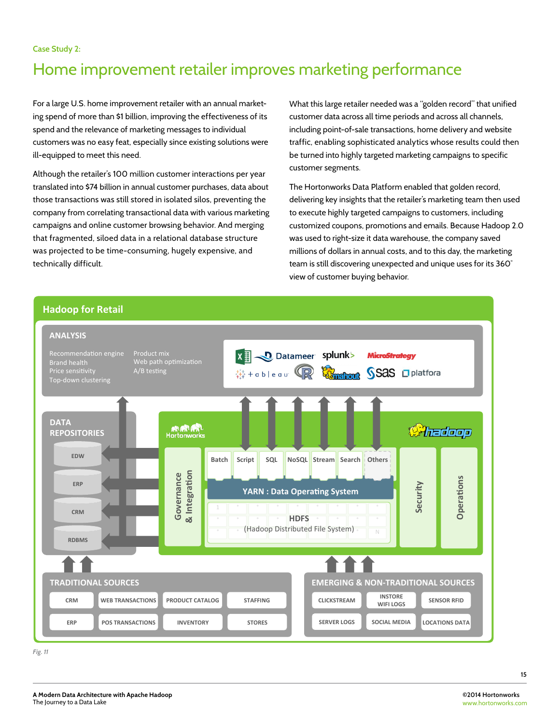**Case Study 2:** 

### Home improvement retailer improves marketing performance

For a large U.S. home improvement retailer with an annual marketing spend of more than \$1 billion, improving the effectiveness of its spend and the relevance of marketing messages to individual customers was no easy feat, especially since existing solutions were ill-equipped to meet this need.

Although the retailer's 100 million customer interactions per year translated into \$74 billion in annual customer purchases, data about those transactions was still stored in isolated silos, preventing the company from correlating transactional data with various marketing campaigns and online customer browsing behavior. And merging that fragmented, siloed data in a relational database structure was projected to be time-consuming, hugely expensive, and technically difficult.

What this large retailer needed was a "golden record" that unified customer data across all time periods and across all channels, including point-of-sale transactions, home delivery and website traffic, enabling sophisticated analytics whose results could then be turned into highly targeted marketing campaigns to specific customer segments.

The Hortonworks Data Platform enabled that golden record, delivering key insights that the retailer's marketing team then used to execute highly targeted campaigns to customers, including customized coupons, promotions and emails. Because Hadoop 2.0 was used to right-size it data warehouse, the company saved millions of dollars in annual costs, and to this day, the marketing team is still discovering unexpected and unique uses for its 360˚ view of customer buying behavior.

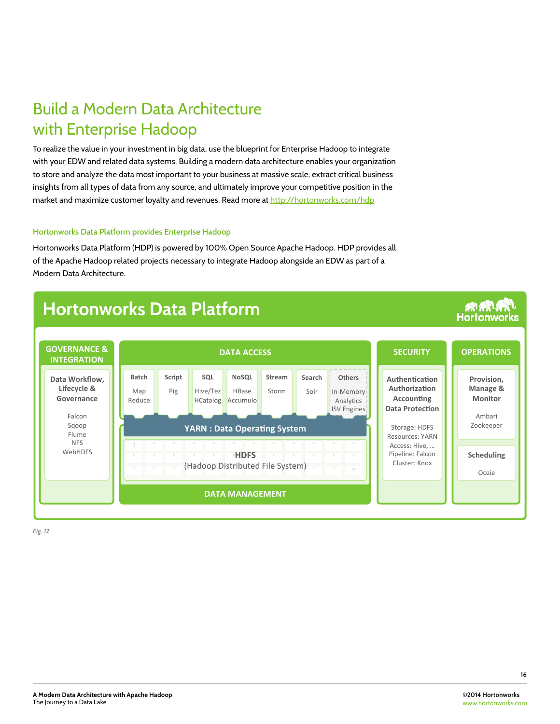### Build a Modern Data Architecture with Enterprise Hadoop

To realize the value in your investment in big data, use the blueprint for Enterprise Hadoop to integrate with your EDW and related data systems. Building a modern data architecture enables your organization to store and analyze the data most important to your business at massive scale, extract critical business insights from all types of data from any source, and ultimately improve your competitive position in the market and maximize customer loyalty and revenues. Read more at http://hortonworks.com/hdp

#### **Hortonworks Data Platform provides Enterprise Hadoop**

Hortonworks Data Platform (HDP) is powered by 100% Open Source Apache Hadoop. HDP provides all of the Apache Hadoop related projects necessary to integrate Hadoop alongside an EDW as part of a Modern Data Architecture.

# **Hortonworks Data Platform**



*Fig. 12*

**RURLIN**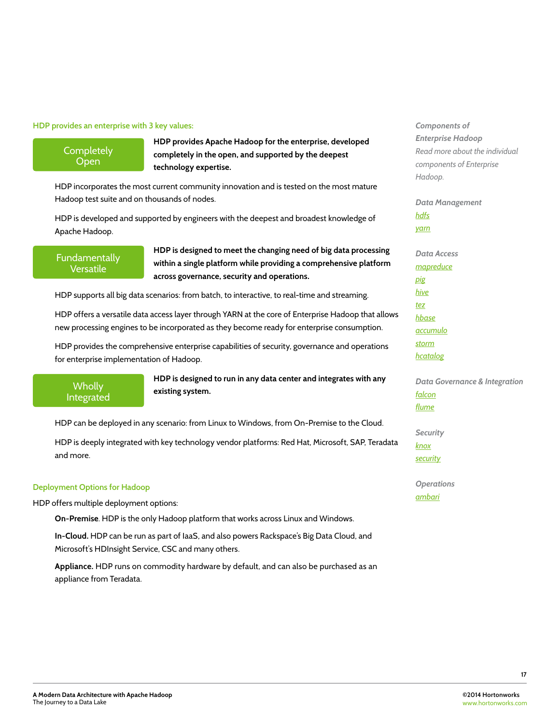#### **HDP provides an enterprise with 3 key values:**

**Completely** Open

**HDP provides Apache Hadoop for the enterprise, developed completely in the open, and supported by the deepest technology expertise.** 

HDP incorporates the most current community innovation and is tested on the most mature Hadoop test suite and on thousands of nodes.

HDP is developed and supported by engineers with the deepest and broadest knowledge of Apache Hadoop.

Fundamentally Versatile

**HDP is designed to meet the changing need of big data processing within a single platform while providing a comprehensive platform across governance, security and operations.** 

HDP supports all big data scenarios: from batch, to interactive, to real-time and streaming.

HDP offers a versatile data access layer through YARN at the core of Enterprise Hadoop that allows new processing engines to be incorporated as they become ready for enterprise consumption.

HDP provides the comprehensive enterprise capabilities of security, governance and operations for enterprise implementation of Hadoop.

**Wholly** Integrated **HDP is designed to run in any data center and integrates with any existing system.**

HDP can be deployed in any scenario: from Linux to Windows, from On-Premise to the Cloud.

HDP is deeply integrated with key technology vendor platforms: Red Hat, Microsoft, SAP, Teradata and more.

#### **Deployment Options for Hadoop**

HDP offers multiple deployment options:

**On-Premise**. HDP is the only Hadoop platform that works across Linux and Windows.

**In-Cloud.** HDP can be run as part of IaaS, and also powers Rackspace's Big Data Cloud, and Microsoft's HDInsight Service, CSC and many others.

**Appliance.** HDP runs on commodity hardware by default, and can also be purchased as an appliance from Teradata.

*Components of Enterprise Hadoop Read more about the individual components of Enterprise Hadoop.* 

*Data Management hdfs yarn*

*Data Access mapreduce pig hive tez hbase accumulo storm hcatalog*

*Data Governance & Integration falcon flume*

*Security knox security*

*Operations ambari*